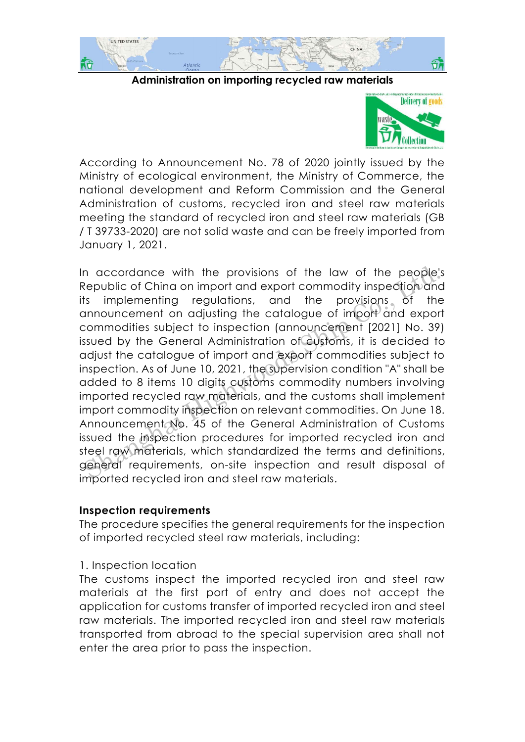

#### **Administration on importing recycled raw materials**



According to Announcement No. 78 of 2020 jointly issued by the Ministry of ecological environment, the Ministry of Commerce, the national development and Reform Commission and the General Administration of customs, recycled iron and steel raw materials meeting the standard of recycled iron and steel raw materials (GB / T 39733-2020) are not solid waste and can be freely imported from January 1, 2021.

In accordance with the provisions of the law of the people's Republic of China on import and export commodity inspection and its implementing regulations, and the provisions of the announcement on adjusting the catalogue of import and export commodities subject to inspection (announcement [2021] No. 39) issued by the General Administration of customs, it is decided to adjust the catalogue of import and export commodities subject to inspection. As of June 10, 2021, the supervision condition "A" shall be added to 8 items 10 digits customs commodity numbers involving imported recycled raw materials, and the customs shall implement import commodity inspection on relevant commodities. On June 18. Announcement No. 45 of the General Administration of Customs issued the inspection procedures for imported recycled iron and steel raw materials, which standardized the terms and definitions, general requirements, on-site inspection and result disposal of imported recycled iron and steel raw materials. In accordance with the provisions of the law of the people<sup>1</sup><br>Republic of China on import and export commodity inspection and<br>Its implementing regulations, and the provisions of the<br>announcement on adjusting the catalogue

### **Inspection requirements**

The procedure specifies the general requirements for the inspection of imported recycled steel raw materials, including:

### 1. Inspection location

The customs inspect the imported recycled iron and steel raw materials at the first port of entry and does not accept the application for customs transfer of imported recycled iron and steel raw materials. The imported recycled iron and steel raw materials transported from abroad to the special supervision area shall not enter the area prior to pass the inspection.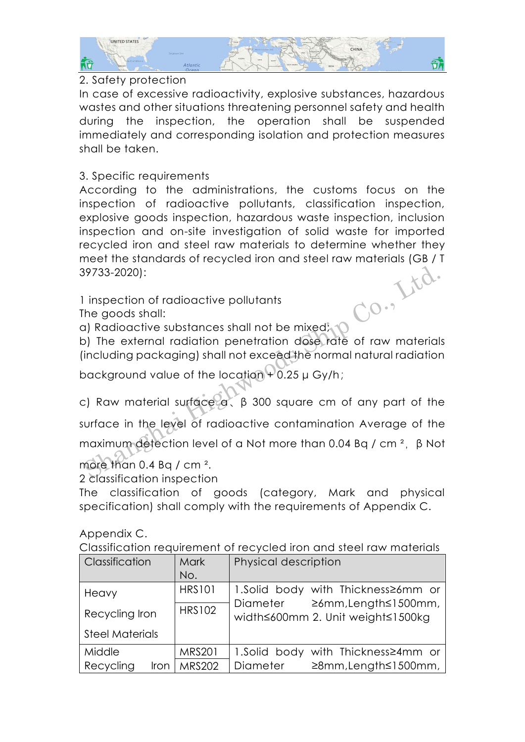

## 2. Safety protection

In case of excessive radioactivity, explosive substances, hazardous wastes and other situations threatening personnel safety and health during the inspection, the operation shall be suspended immediately and corresponding isolation and protection measures shall be taken.

# 3. Specific requirements

According to the administrations, the customs focus on the inspection of radioactive pollutants, classification inspection, explosive goods inspection, hazardous waste inspection, inclusion inspection and on-site investigation of solid waste for imported recycled iron and steel raw materials to determine whether they meet the standards of recycled iron and steel raw materials (GB / T<br>39733-2020):<br>1 inspection of radioactive pollutants<br>The goods shall:<br>a) Radio 39733-2020):

1 inspection of radioactive pollutants

The goods shall:

a) Radioactive substances shall not be mixed;

b) The external radiation penetration dose rate of raw materials (including packaging) shall not exceed the normal natural radiation

background value of the location + 0.25 μ Gy/h;

c) Raw material surface α、β 300 square cm of any part of the surface in the level of radioactive contamination Average of the maximum detection level of a Not more than 0.04 Bq / cm<sup>2</sup>,  $\beta$  Not Shanghai Highlands (Shanghai Highlands Shanghai Highlands Shanghai Highlands Shanghai Highlands Shanghai Highlands Shanghai Highlands Shanghai Highlands Shanghai Highlands Co., 19 Shanghai Highlands Co., 19 Shanghai High

more than  $0.4$  Bq / cm  $^{2}$ .

2 classification inspection

The classification of goods (category, Mark and physical specification) shall comply with the requirements of Appendix C.

Appendix C.

Classification requirement of recycled iron and steel raw materials

| <b>Classification</b>  | <b>Mark</b>   | Physical description                                                  |  |
|------------------------|---------------|-----------------------------------------------------------------------|--|
|                        | No.           |                                                                       |  |
| Heavy                  | <b>HRS101</b> | 1.Solid body with Thickness 26mm or                                   |  |
| Recycling Iron         | <b>HRS102</b> | ≥6mm, Length≤1500mm,<br>Diameter<br>width≤600mm 2. Unit weight≤1500kg |  |
| <b>Steel Materials</b> |               |                                                                       |  |
| Middle                 | <b>MRS201</b> | 1.Solid body with Thickness  24mm or                                  |  |
| Recycling<br>Iron      | <b>MRS202</b> | ≥8mm, Length≤1500mm,<br>Diameter                                      |  |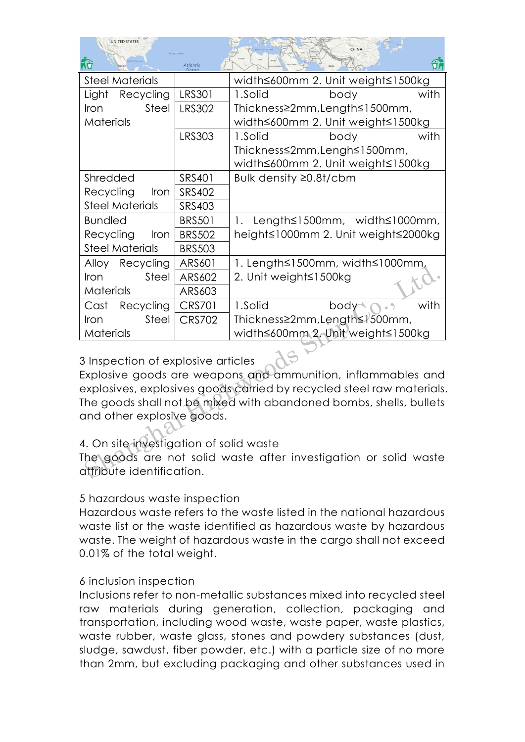| UNITED STATES                      | Surgasso Sea      | GARSCARDS<br>Crang<br>14147<br><b>SESEA CORAN</b><br>CHINA<br>Mediterronean Sec.<br>- мовесе».<br>18.3.74<br><b>SACIITAN</b><br><b>ACQUIREA</b><br>LEYA<br>Editor |  |
|------------------------------------|-------------------|-------------------------------------------------------------------------------------------------------------------------------------------------------------------|--|
| <b>MEXICO</b><br><b>CONTRACTOR</b> | Atlantic<br>Ocean | <b>SAUDI ANABIA</b><br><b>INDIA</b><br>FLATFERAS<br>MAURITANA I<br><b>C. Oklimates Fee</b>                                                                        |  |

| <b>Steel Materials</b>                                                |               | width≤600mm 2. Unit weight≤1500kg                  |  |  |  |
|-----------------------------------------------------------------------|---------------|----------------------------------------------------|--|--|--|
| Light<br>Recycling                                                    | <b>LRS301</b> | 1.Solid<br>body<br>with                            |  |  |  |
| Steel<br>Iron                                                         | <b>LRS302</b> | Thickness≥2mm, Length≤1500mm,                      |  |  |  |
| Materials                                                             |               | width≤600mm 2. Unit weight≤1500kg                  |  |  |  |
|                                                                       | <b>LRS303</b> | with<br>body<br>1.Solid                            |  |  |  |
|                                                                       |               | Thickness≤2mm, Lengh≤1500mm,                       |  |  |  |
|                                                                       |               | width≤600mm 2. Unit weight≤1500kg                  |  |  |  |
| Shredded                                                              | SRS401        | Bulk density ≥0.8t/cbm                             |  |  |  |
| Recycling<br>Iron                                                     | <b>SRS402</b> |                                                    |  |  |  |
| <b>Steel Materials</b>                                                | <b>SRS403</b> |                                                    |  |  |  |
| <b>Bundled</b>                                                        | <b>BRS501</b> | Length≤1500mm, width≤1000mm,<br>1.                 |  |  |  |
| Recycling<br>Iron                                                     | <b>BRS502</b> | height≤1000mm 2. Unit weight≤2000kg                |  |  |  |
| <b>Steel Materials</b>                                                | <b>BRS503</b> |                                                    |  |  |  |
| Alloy Recycling                                                       | ARS601        | 1. Length≤1500mm, width≤1000mm,                    |  |  |  |
| Steel<br>Iron                                                         | ARS602        | 2. Unit weight≤1500kg                              |  |  |  |
| Materials                                                             | ARS603        |                                                    |  |  |  |
| Cast<br>Recycling                                                     | <b>CRS701</b> | 1.Solid<br>with<br>$\sqrt{2}$<br>body <sup>-</sup> |  |  |  |
| Steel<br>Iron                                                         | <b>CRS702</b> | Thickness≥2mm, Length≤1500mm,                      |  |  |  |
| Materials                                                             |               | width≤600mm 2. Unit weight≤1500kg                  |  |  |  |
|                                                                       |               |                                                    |  |  |  |
| 3 Inspection of explosive articles                                    |               |                                                    |  |  |  |
| Explosive goods are weapons and ammunition, inflammables and          |               |                                                    |  |  |  |
| explosives, explosives goods carried by recycled steel raw materials. |               |                                                    |  |  |  |
| The goods shall not be mixed with abandoned bombs, shells, bullets    |               |                                                    |  |  |  |
| and other explosive goods.                                            |               |                                                    |  |  |  |
|                                                                       |               |                                                    |  |  |  |
| 4. On site investigation of solid waste                               |               |                                                    |  |  |  |
| The goods are not solid waste after investigation or solid waste      |               |                                                    |  |  |  |
| attribute identification.                                             |               |                                                    |  |  |  |

# 3 Inspection of explosive articles

## 4. On site investigation of solid waste

## 5 hazardous waste inspection

Hazardous waste refers to the waste listed in the national hazardous waste list or the waste identified as hazardous waste by hazardous waste. The weight of hazardous waste in the cargo shall not exceed 0.01% of the total weight.

## 6 inclusion inspection

Inclusions refer to non-metallic substances mixed into recycled steel raw materials during generation, collection, packaging and transportation, including wood waste, waste paper, waste plastics, waste rubber, waste glass, stones and powdery substances (dust, sludge, sawdust, fiber powder, etc.) with a particle size of no more than 2mm, but excluding packaging and other substances used in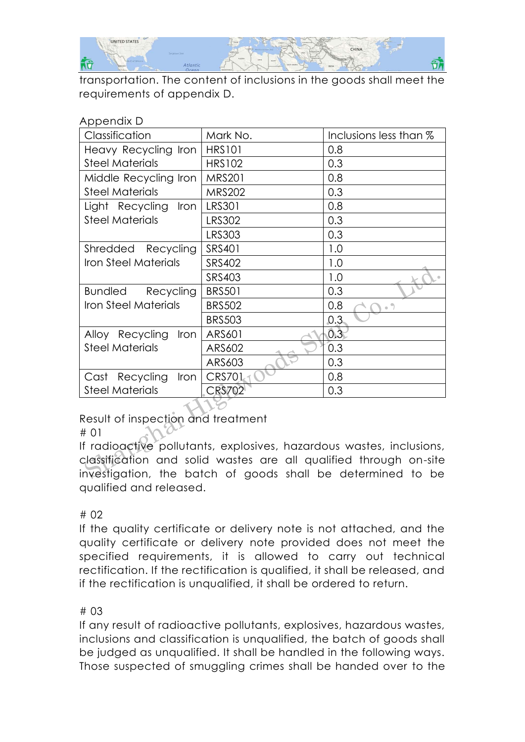

transportation. The content of inclusions in the goods shall meet the requirements of appendix D.

| UNDELIAIV D                                                 |               |                                                                                                                                           |  |  |  |
|-------------------------------------------------------------|---------------|-------------------------------------------------------------------------------------------------------------------------------------------|--|--|--|
| Classification                                              | Mark No.      | Inclusions less than %                                                                                                                    |  |  |  |
| Heavy Recycling Iron                                        | <b>HRS101</b> | 0.8                                                                                                                                       |  |  |  |
| <b>Steel Materials</b>                                      | <b>HRS102</b> | 0.3                                                                                                                                       |  |  |  |
| Middle Recycling Iron                                       | <b>MRS201</b> | 0.8                                                                                                                                       |  |  |  |
| <b>Steel Materials</b>                                      | <b>MRS202</b> | 0.3                                                                                                                                       |  |  |  |
| Light Recycling Iron                                        | <b>LRS301</b> | 0.8                                                                                                                                       |  |  |  |
| <b>Steel Materials</b>                                      | <b>LRS302</b> | 0.3                                                                                                                                       |  |  |  |
|                                                             | <b>LRS303</b> | 0.3                                                                                                                                       |  |  |  |
| Shredded Recycling                                          | SRS401        | 1.0                                                                                                                                       |  |  |  |
| <b>Iron Steel Materials</b>                                 | SRS402        | 1.0                                                                                                                                       |  |  |  |
|                                                             | <b>SRS403</b> | 1.0                                                                                                                                       |  |  |  |
| Bundled Recycling                                           | <b>BRS501</b> | 0.3                                                                                                                                       |  |  |  |
| Iron Steel Materials                                        | <b>BRS502</b> | 0.8<br>$_{\odot}$ ")                                                                                                                      |  |  |  |
|                                                             | <b>BRS503</b> | 0.3                                                                                                                                       |  |  |  |
| Iron<br>Alloy Recycling                                     | ARS601        | 0.3                                                                                                                                       |  |  |  |
| <b>Steel Materials</b>                                      | ARS602        | 0.3                                                                                                                                       |  |  |  |
|                                                             | ARS603        | 0.3                                                                                                                                       |  |  |  |
| Cast Recycling<br>Iron                                      | <b>CRS701</b> | 0.8                                                                                                                                       |  |  |  |
| <b>Steel Materials</b>                                      | <b>CRS702</b> | 0.3                                                                                                                                       |  |  |  |
| Result of inspection and treatment<br># 01                  |               | If radioactive pollutants, explosives, hazardous wastes, inclusions,<br>classification and solid wastes are all qualified through on-site |  |  |  |
| investigation, the batch of goods shall be determined to be |               |                                                                                                                                           |  |  |  |

#### Appendix D

## Result of inspection and treatment

If radioactive pollutants, explosives, hazardous wastes, inclusions, classification and solid wastes are all qualified through on-site investigation, the batch of goods shall be determined to be qualified and released.

### # 02

If the quality certificate or delivery note is not attached, and the quality certificate or delivery note provided does not meet the specified requirements, it is allowed to carry out technical rectification. If the rectification is qualified, it shall be released, and if the rectification is unqualified, it shall be ordered to return.

### # 03

If any result of radioactive pollutants, explosives, hazardous wastes, inclusions and classification is unqualified, the batch of goods shall be judged as unqualified. It shall be handled in the following ways. Those suspected of smuggling crimes shall be handed over to the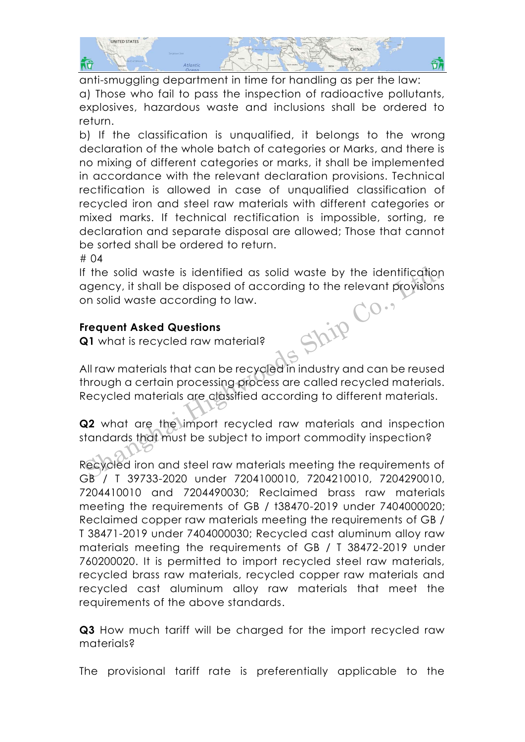

anti-smuggling department in time for handling as per the law: a) Those who fail to pass the inspection of radioactive pollutants, explosives, hazardous waste and inclusions shall be ordered to return.

b) If the classification is unqualified, it belongs to the wrong declaration of the whole batch of categories or Marks, and there is no mixing of different categories or marks, it shall be implemented in accordance with the relevant declaration provisions. Technical rectification is allowed in case of unqualified classification of recycled iron and steel raw materials with different categories or mixed marks. If technical rectification is impossible, sorting, re declaration and separate disposal are allowed; Those that cannot be sorted shall be ordered to return.

# 04

If the solid waste is identified as solid waste by the identification deency, it shall be disposed of according to the relevant provisions<br>on solid waste according to law.<br>**Frequent Asked Questions**<br>**Q1** what is recycled raw material is on solid waste according to law. F the solid waste is identified as solid waste by the identification<br>
Sharpency, it shall be disposed of according to the relevant provision<br>
Sharpency is shall be disposed of according to the relevant provision<br>
Sharpence

# **Frequent Asked Questions**

**Q1** what is recycled raw material?

All raw materials that can be recycled in industry and can be reused through a certain processing process are called recycled materials. Recycled materials are classified according to different materials.

**Q2** what are the import recycled raw materials and inspection standards that must be subject to import commodity inspection?

Recycled iron and steel raw materials meeting the requirements of GB / T 39733-2020 under 7204100010, 7204210010, 7204290010, 7204410010 and 7204490030; Reclaimed brass raw materials meeting the requirements of GB / t38470-2019 under 7404000020; Reclaimed copper raw materials meeting the requirements of GB / T 38471-2019 under 7404000030; Recycled cast aluminum alloy raw materials meeting the requirements of GB / T 38472-2019 under 760200020. It is permitted to import recycled steel raw materials, recycled brass raw materials, recycled copper raw materials and recycled cast aluminum alloy raw materials that meet the requirements of the above standards.

**Q3** How much tariff will be charged for the import recycled raw materials?

The provisional tariff rate is preferentially applicable to the